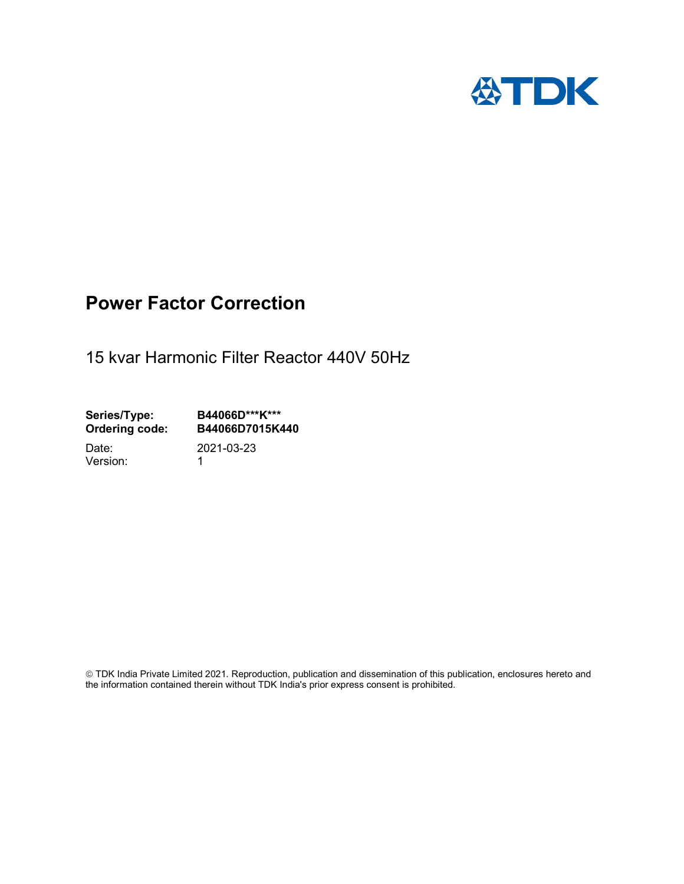

## Power Factor Correction

15 kvar Harmonic Filter Reactor 440V 50Hz

Series/Type: B44066D\*\*\*K\*\*\*<br>Ordering code: B44066D7015K4 B44066D7015K440 Date: 2021-03-23

Version: 1

 TDK India Private Limited 2021. Reproduction, publication and dissemination of this publication, enclosures hereto and the information contained therein without TDK India's prior express consent is prohibited.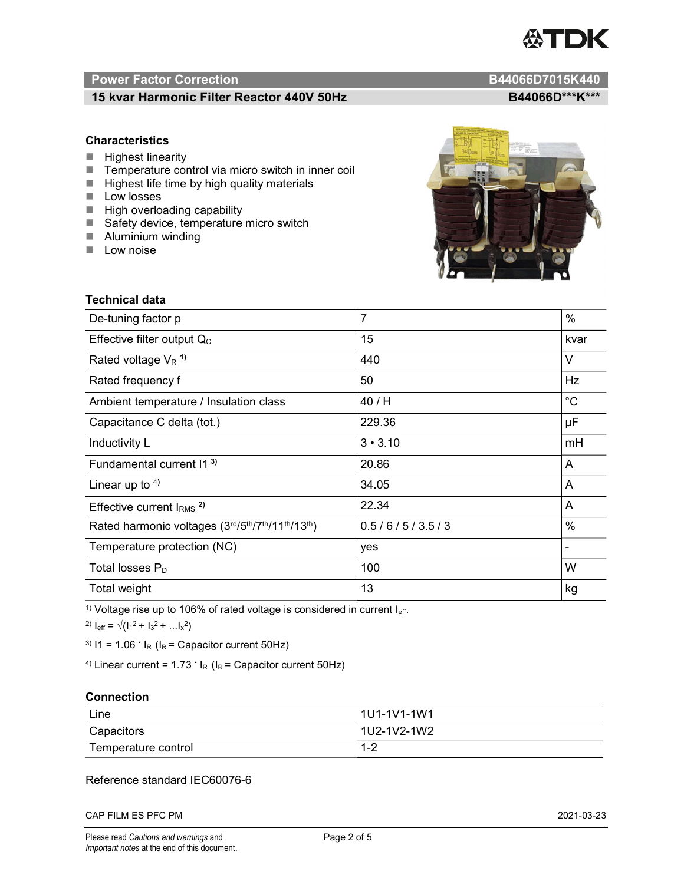# TDK

### Power Factor Correction and Content of Content of Content of Content of Content of Content of Content of Content of Content of Content of Content of Content of Content of Content of Content of Content of Content of Content

### 15 kvar Harmonic Filter Reactor 440V 50Hz BA4066D\*\*\*K\*\*\*

### **Characteristics**

- $\blacksquare$  Highest linearity
- Temperature control via micro switch in inner coil
- $\blacksquare$  Highest life time by high quality materials
- **Low losses**
- $\blacksquare$  High overloading capability
- Safety device, temperature micro switch
- **Aluminium winding**
- **Low noise**



| Technical data                                  |                |             |  |
|-------------------------------------------------|----------------|-------------|--|
| De-tuning factor p                              | $\overline{7}$ | %           |  |
| Effective filter output $Q_C$                   | 15             | kvar        |  |
| Rated voltage $V_R$ <sup>1)</sup>               | 440            | V           |  |
| Rated frequency f                               | 50             | Hz          |  |
| Ambient temperature / Insulation class          | 40/H           | $^{\circ}C$ |  |
| Capacitance C delta (tot.)                      | 229.36         | μF          |  |
| Inductivity L                                   | $3 \cdot 3.10$ | mH          |  |
| Fundamental current 11 <sup>3)</sup>            | 20.86          | A           |  |
| Linear up to $4$ )                              | 34.05          | A           |  |
| Effective current $IRMS$ <sup>2)</sup>          | 22.34          | A           |  |
| Rated harmonic voltages (3rd/5th/7th/11th/13th) | 0.5/6/5/3.5/3  | $\%$        |  |
| Temperature protection (NC)                     | yes            |             |  |
| Total losses $P_D$                              | 100            | W           |  |
| Total weight                                    | 13             | kg          |  |

<sup>1)</sup> Voltage rise up to 106% of rated voltage is considered in current  $I_{\text{eff}}$ .

<sup>2)</sup>  $I_{eff} = \sqrt{(I_1^2 + I_3^2 + ... I_x^2)}$ 

<sup>3)</sup>  $11 = 1.06$   $\cdot$   $I_R$  ( $I_R$  = Capacitor current 50Hz)

<sup>4)</sup> Linear current =  $1.73$   $\cdot$  I<sub>R</sub> (I<sub>R</sub> = Capacitor current 50Hz)

### **Connection**

| Line                | l 1U1-1V1-1W1       |
|---------------------|---------------------|
| Capacitors          | l 1U2-1V2-1W2       |
| Temperature control | <u> 4 ຕ</u><br>ے- ا |

### Reference standard IEC60076-6

CAP FILM ES PFC PM 2021-03-23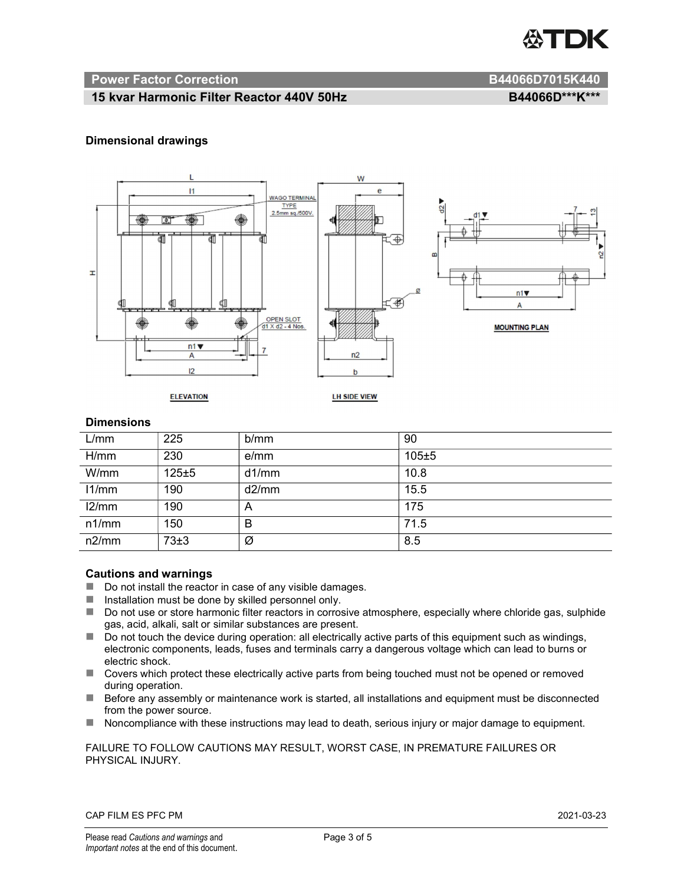

### Power Factor Correction and B44066D7015K440

### 15 kvar Harmonic Filter Reactor 440V 50Hz BA4066D\*\*\*K\*\*\*

### Dimensional drawings



### **Dimensions**

| L/mm  | 225       | b/mm  | 90    |
|-------|-----------|-------|-------|
| H/mm  | 230       | e/mm  | 105±5 |
| W/mm  | $125 + 5$ | d1/mm | 10.8  |
| 11/mm | 190       | d2/mm | 15.5  |
| 12/mm | 190       | A     | 175   |
| n1/mm | 150       | B     | 71.5  |
| n2/mm | 73±3      | Ø     | 8.5   |

### Cautions and warnings

- Do not install the reactor in case of any visible damages.
- $\blacksquare$  Installation must be done by skilled personnel only.
- Do not use or store harmonic filter reactors in corrosive atmosphere, especially where chloride gas, sulphide gas, acid, alkali, salt or similar substances are present.
- $\Box$  Do not touch the device during operation: all electrically active parts of this equipment such as windings, electronic components, leads, fuses and terminals carry a dangerous voltage which can lead to burns or electric shock.
- Covers which protect these electrically active parts from being touched must not be opened or removed during operation.
- Before any assembly or maintenance work is started, all installations and equipment must be disconnected from the power source.
- Noncompliance with these instructions may lead to death, serious injury or major damage to equipment.

### FAILURE TO FOLLOW CAUTIONS MAY RESULT, WORST CASE, IN PREMATURE FAILURES OR PHYSICAL INJURY.

### CAP FILM ES PFC PM 2021-03-23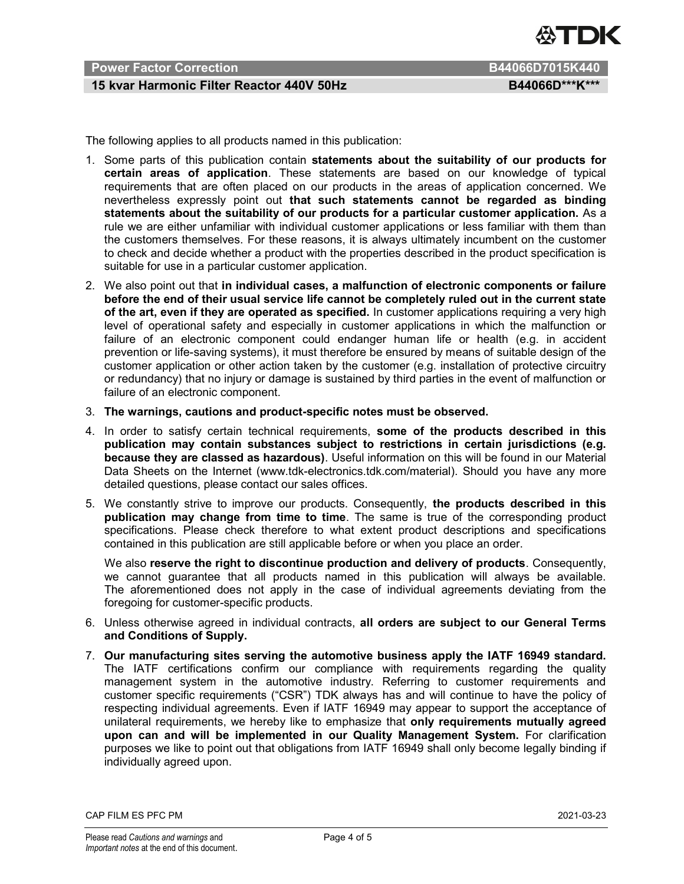

### Power Factor Correction B44066D7015K440

### 15 kvar Harmonic Filter Reactor 440V 50Hz BA4066D\*\*\*K\*\*\*

The following applies to all products named in this publication:

- 1. Some parts of this publication contain statements about the suitability of our products for certain areas of application. These statements are based on our knowledge of typical requirements that are often placed on our products in the areas of application concerned. We nevertheless expressly point out that such statements cannot be regarded as binding statements about the suitability of our products for a particular customer application. As a rule we are either unfamiliar with individual customer applications or less familiar with them than the customers themselves. For these reasons, it is always ultimately incumbent on the customer to check and decide whether a product with the properties described in the product specification is suitable for use in a particular customer application.
- 2. We also point out that in individual cases, a malfunction of electronic components or failure before the end of their usual service life cannot be completely ruled out in the current state of the art, even if they are operated as specified. In customer applications requiring a very high level of operational safety and especially in customer applications in which the malfunction or failure of an electronic component could endanger human life or health (e.g. in accident prevention or life-saving systems), it must therefore be ensured by means of suitable design of the customer application or other action taken by the customer (e.g. installation of protective circuitry or redundancy) that no injury or damage is sustained by third parties in the event of malfunction or failure of an electronic component.
- 3. The warnings, cautions and product-specific notes must be observed.
- 4. In order to satisfy certain technical requirements, some of the products described in this publication may contain substances subject to restrictions in certain jurisdictions (e.g. because they are classed as hazardous). Useful information on this will be found in our Material Data Sheets on the Internet (www.tdk-electronics.tdk.com/material). Should you have any more detailed questions, please contact our sales offices.
- 5. We constantly strive to improve our products. Consequently, the products described in this publication may change from time to time. The same is true of the corresponding product specifications. Please check therefore to what extent product descriptions and specifications contained in this publication are still applicable before or when you place an order.

We also reserve the right to discontinue production and delivery of products. Consequently, we cannot guarantee that all products named in this publication will always be available. The aforementioned does not apply in the case of individual agreements deviating from the foregoing for customer-specific products.

- 6. Unless otherwise agreed in individual contracts, all orders are subject to our General Terms and Conditions of Supply.
- 7. Our manufacturing sites serving the automotive business apply the IATF 16949 standard. The IATF certifications confirm our compliance with requirements regarding the quality management system in the automotive industry. Referring to customer requirements and customer specific requirements ("CSR") TDK always has and will continue to have the policy of respecting individual agreements. Even if IATF 16949 may appear to support the acceptance of unilateral requirements, we hereby like to emphasize that only requirements mutually agreed upon can and will be implemented in our Quality Management System. For clarification purposes we like to point out that obligations from IATF 16949 shall only become legally binding if individually agreed upon.